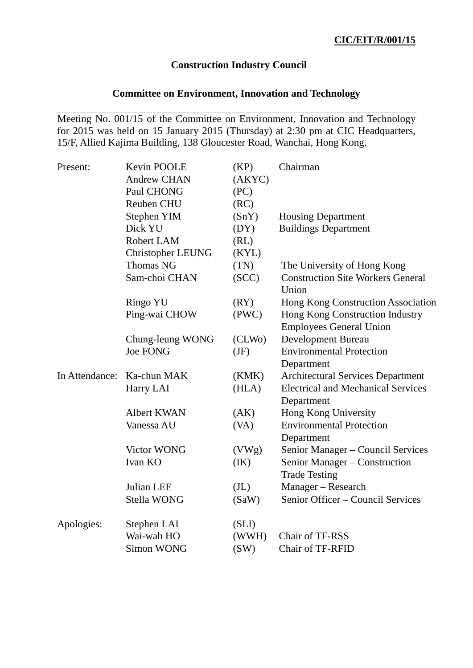## **Construction Industry Council**

# **Committee on Environment, Innovation and Technology**

Meeting No. 001/15 of the Committee on Environment, Innovation and Technology for 2015 was held on 15 January 2015 (Thursday) at 2:30 pm at CIC Headquarters, 15/F, Allied Kajima Building, 138 Gloucester Road, Wanchai, Hong Kong.

| Present:       | Kevin POOLE              | (KP)              | Chairman                                          |
|----------------|--------------------------|-------------------|---------------------------------------------------|
|                | <b>Andrew CHAN</b>       | (AKYC)            |                                                   |
|                | Paul CHONG               | (PC)              |                                                   |
|                | Reuben CHU               | (RC)              |                                                   |
|                | <b>Stephen YIM</b>       | (SnY)             | <b>Housing Department</b>                         |
|                | Dick YU                  | (DY)              | <b>Buildings Department</b>                       |
|                | Robert LAM               | (RL)              |                                                   |
|                | <b>Christopher LEUNG</b> | (KYL)             |                                                   |
|                | <b>Thomas NG</b>         | (TN)              | The University of Hong Kong                       |
|                | Sam-choi CHAN            | (SCC)             | <b>Construction Site Workers General</b><br>Union |
|                | Ringo YU                 | (RY)              | Hong Kong Construction Association                |
|                | Ping-wai CHOW            | (PWC)             | Hong Kong Construction Industry                   |
|                |                          |                   | <b>Employees General Union</b>                    |
|                | Chung-leung WONG         | (CLWo)            | <b>Development Bureau</b>                         |
|                | <b>Joe FONG</b>          | (JF)              | <b>Environmental Protection</b>                   |
|                |                          |                   | Department                                        |
| In Attendance: | Ka-chun MAK              | (KMK)             | <b>Architectural Services Department</b>          |
|                | Harry LAI                | (HLA)             | <b>Electrical and Mechanical Services</b>         |
|                |                          |                   | Department                                        |
|                | <b>Albert KWAN</b>       | (AK)              | Hong Kong University                              |
|                | Vanessa AU               | (VA)              | <b>Environmental Protection</b>                   |
|                |                          |                   | Department                                        |
|                | <b>Victor WONG</b>       | (VWg)             | Senior Manager – Council Services                 |
|                | Ivan KO                  | (IK)              | Senior Manager – Construction                     |
|                |                          |                   | <b>Trade Testing</b>                              |
|                | Julian LEE               | (J <sub>L</sub> ) | Manager - Research                                |
|                | Stella WONG              | (SaW)             | Senior Officer - Council Services                 |
| Apologies:     | Stephen LAI              | (SLI)             |                                                   |
|                | Wai-wah HO               | (WWH)             | Chair of TF-RSS                                   |
|                | <b>Simon WONG</b>        | (SW)              | Chair of TF-RFID                                  |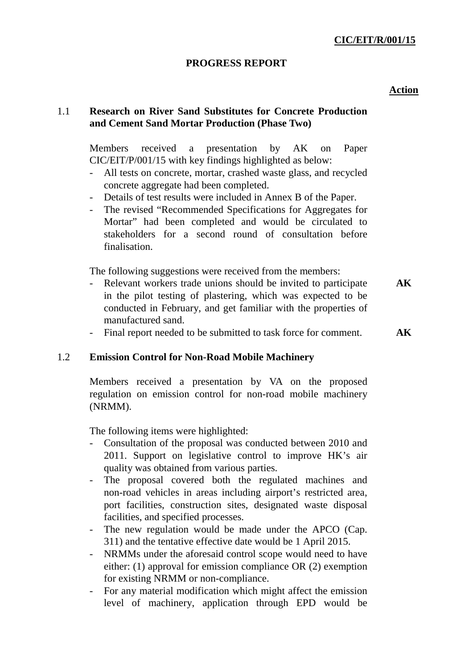## **CIC/EIT/R/001/15**

### **PROGRESS REPORT**

#### **Action**

## 1.1 **Research on River Sand Substitutes for Concrete Production and Cement Sand Mortar Production (Phase Two)**

Members received a presentation by AK on Paper CIC/EIT/P/001/15 with key findings highlighted as below:

- All tests on concrete, mortar, crashed waste glass, and recycled concrete aggregate had been completed.
- Details of test results were included in Annex B of the Paper.
- The revised "Recommended Specifications for Aggregates for Mortar" had been completed and would be circulated to stakeholders for a second round of consultation before finalisation.

The following suggestions were received from the members:

- Relevant workers trade unions should be invited to participate in the pilot testing of plastering, which was expected to be conducted in February, and get familiar with the properties of manufactured sand. **AK**
- Final report needed to be submitted to task force for comment. **AK**

## 1.2 **Emission Control for Non-Road Mobile Machinery**

Members received a presentation by VA on the proposed regulation on emission control for non-road mobile machinery (NRMM).

The following items were highlighted:

- Consultation of the proposal was conducted between 2010 and 2011. Support on legislative control to improve HK's air quality was obtained from various parties.
- The proposal covered both the regulated machines and non-road vehicles in areas including airport's restricted area, port facilities, construction sites, designated waste disposal facilities, and specified processes.
- The new regulation would be made under the APCO (Cap. 311) and the tentative effective date would be 1 April 2015.
- NRMMs under the aforesaid control scope would need to have either: (1) approval for emission compliance OR (2) exemption for existing NRMM or non-compliance.
- For any material modification which might affect the emission level of machinery, application through EPD would be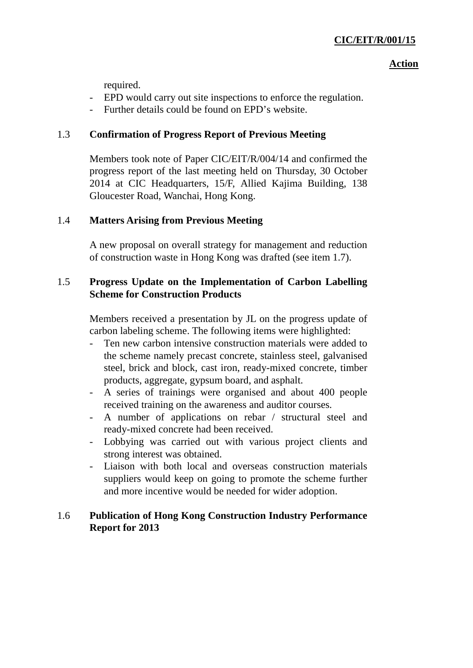### **Action**

required.

- EPD would carry out site inspections to enforce the regulation.
- Further details could be found on EPD's website.

# 1.3 **Confirmation of Progress Report of Previous Meeting**

Members took note of Paper CIC/EIT/R/004/14 and confirmed the progress report of the last meeting held on Thursday, 30 October 2014 at CIC Headquarters, 15/F, Allied Kajima Building, 138 Gloucester Road, Wanchai, Hong Kong.

# 1.4 **Matters Arising from Previous Meeting**

A new proposal on overall strategy for management and reduction of construction waste in Hong Kong was drafted (see item 1.7).

# 1.5 **Progress Update on the Implementation of Carbon Labelling Scheme for Construction Products**

Members received a presentation by JL on the progress update of carbon labeling scheme. The following items were highlighted:

- Ten new carbon intensive construction materials were added to the scheme namely precast concrete, stainless steel, galvanised steel, brick and block, cast iron, ready-mixed concrete, timber products, aggregate, gypsum board, and asphalt.
- A series of trainings were organised and about 400 people received training on the awareness and auditor courses.
- A number of applications on rebar / structural steel and ready-mixed concrete had been received.
- Lobbying was carried out with various project clients and strong interest was obtained.
- Liaison with both local and overseas construction materials suppliers would keep on going to promote the scheme further and more incentive would be needed for wider adoption.

# 1.6 **Publication of Hong Kong Construction Industry Performance Report for 2013**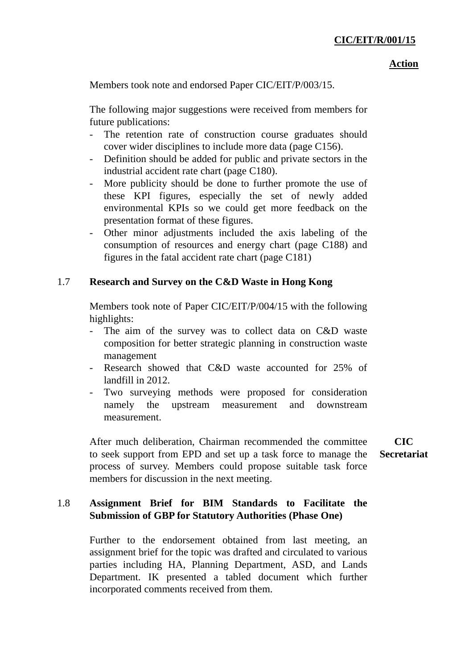#### **Action**

Members took note and endorsed Paper CIC/EIT/P/003/15.

The following major suggestions were received from members for future publications:

- The retention rate of construction course graduates should cover wider disciplines to include more data (page C156).
- Definition should be added for public and private sectors in the industrial accident rate chart (page C180).
- More publicity should be done to further promote the use of these KPI figures, especially the set of newly added environmental KPIs so we could get more feedback on the presentation format of these figures.
- Other minor adjustments included the axis labeling of the consumption of resources and energy chart (page C188) and figures in the fatal accident rate chart (page C181)

## 1.7 **Research and Survey on the C&D Waste in Hong Kong**

Members took note of Paper CIC/EIT/P/004/15 with the following highlights:

- The aim of the survey was to collect data on C&D waste composition for better strategic planning in construction waste management
- Research showed that C&D waste accounted for 25% of landfill in 2012.
- Two surveying methods were proposed for consideration namely the upstream measurement and downstream measurement.

After much deliberation, Chairman recommended the committee to seek support from EPD and set up a task force to manage the process of survey. Members could propose suitable task force members for discussion in the next meeting.

# 1.8 **Assignment Brief for BIM Standards to Facilitate the Submission of GBP for Statutory Authorities (Phase One)**

Further to the endorsement obtained from last meeting, an assignment brief for the topic was drafted and circulated to various parties including HA, Planning Department, ASD, and Lands Department. IK presented a tabled document which further incorporated comments received from them.

**CIC Secretariat**